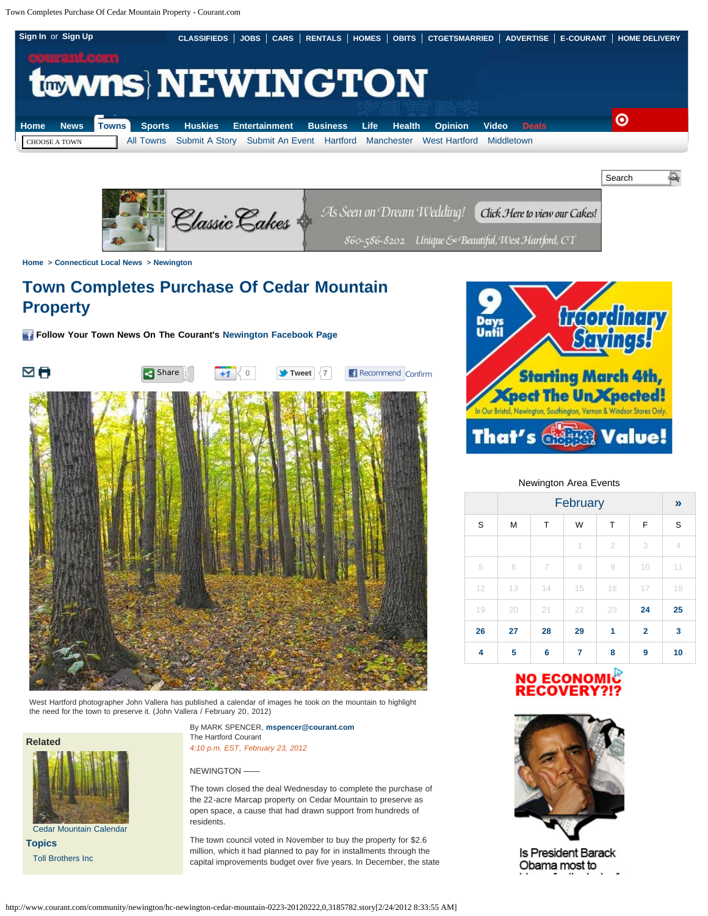<span id="page-0-0"></span>Town Completes Purchase Of Cedar Mountain Property - Courant.com





**[Home](http://www.courant.com/)** > **[Connecticut Local News](http://www.courant.com/community)** > **[Newington](http://www.courant.com/community/newington)**

## **Town Completes Purchase Of Cedar Mountain Property**

**Follow Your Town News On The Courant's [Newington Facebook Page](http://www.facebook.com/pages/Newington-Courant-News/164231720284607)**



West Hartford photographer John Vallera has published a calendar of images he took on the mountain to highlight the need for the town to preserve it. (John Vallera / February 20, 2012)



[Cedar Mountain Calendar](http://www.courant.com/community/newington/hc-cedar-mountain-calendar-20120220,0,3693061.photogallery) **[Topics](http://www.courant.com/topic)**

[Toll Brothers Inc](http://www.courant.com/topic/economy-business-finance/toll-brothers-inc-ORCRP015357.topic)

By MARK SPENCER, **[mspencer@courant.com](mailto:mspencer@courant.com)** The Hartford Courant *4:10 p.m. EST, February 23, 2012*

#### NEWINGTON ——

The town closed the deal Wednesday to complete the purchase of the 22-acre Marcap property on Cedar Mountain to preserve as open space, a cause that had drawn support from hundreds of residents.

The town council voted in November to buy the property for \$2.6 million, which it had planned to pay for in installments through the capital improvements budget over five years. In December, the state



#### Newington Area Events

|    | February<br>F<br>W<br>М<br>Τ<br>т |    |                          |                |                | $\boldsymbol{y}$ |
|----|-----------------------------------|----|--------------------------|----------------|----------------|------------------|
| S  |                                   |    |                          |                |                | S                |
|    |                                   |    | $\overline{\phantom{a}}$ | $\overline{2}$ | 3              | 4                |
| 5  | 6                                 | 7  | 8                        | 9              | 10             | 11               |
| 12 | 13                                | 14 | 15                       | 16             | 17             | 18               |
| 19 | 20                                | 21 | 22                       | 23             | 24             | 25               |
| 26 | 27                                | 28 | 29                       | 1              | $\overline{2}$ | 3                |
| 4  | 5                                 | 6  | 7                        | 8              | 9              | 10               |

# NO ECONOMIC<br>RECOVERY?!?



**Is President Barack** Obama most to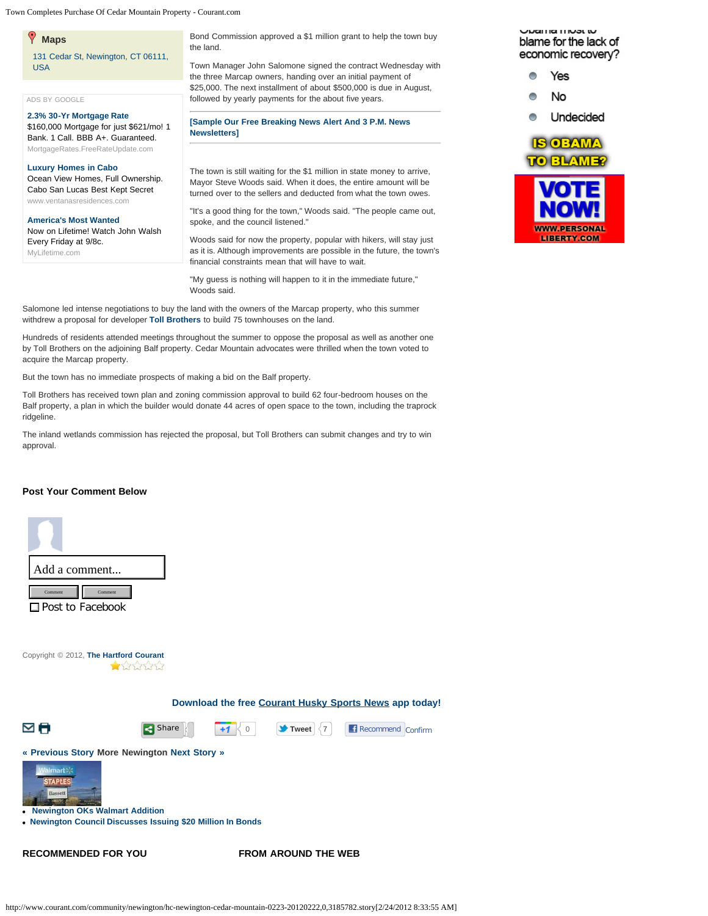Town Completes Purchase Of Cedar Mountain Property - Courant.com

### **Maps**

[131 Cedar St, Newington, CT 06111,](http://www.courant.com/hc-newington-cedar-mountain-0223-20120222/map.front?mid=68316223) [USA](http://www.courant.com/hc-newington-cedar-mountain-0223-20120222/map.front?mid=68316223)

#### [ADS BY GOOGLE](http://www.google.com/url?ct=abg&q=https://www.google.com/adsense/support/bin/request.py%3Fcontact%3Dabg_afc%26url%3Dhttp://www.courant.com/community/newington/hc-newington-cedar-mountain-0223-20120222,0,1634688,print.story%26hl%3Den%26client%3Dca-tribune_news3_html%26adU%3DMortgageRates.FreeRateUpdate.com%26adT%3D2.3%2525%2B30-Yr%2BMortgage%2BRate%26adU%3Dwww.ventanasresidences.com%26adT%3DLuxury%2BHomes%2Bin%2BCabo%26adU%3DMyLifetime.com%26adT%3DAmerica%2526%252339%253Bs%2BMost%2BWanted%26gl%3DUS%26hideleadgen%3D1&usg=AFQjCNGZgjbjnxp85JKgLK2Hw-IBiw7YOQ)

**[2.3% 30-Yr Mortgage Rate](http://googleads.g.doubleclick.net/aclk?sa=l&ai=BBh9IdpFHT_P2MIyO2gWjq7XzBoWNy5QCpZPA8SP9wIaOeuDVVhABGAEgqPGhBigDOABQ2L2j5Pn_____AWDJ5pWH0KPYD6AB6cKu8AOyAQ93d3cuY291cmFudC5jb23IAQHaAWpodHRwOi8vd3d3LmNvdXJhbnQuY29tL2NvbW11bml0eS9uZXdpbmd0b24vaGMtbmV3aW5ndG9uLWNlZGFyLW1vdW50YWluLTAyMjMtMjAxMjAyMjIsMCwxNjM0Njg4LHByaW50LnN0b3J5-AEBgAIBwAIJqAMB6AMd6AMT6AMQ9QMAAADE9QMgAAAQ&num=1&sig=AOD64_1bbErrEPQBDpMRzkjCe6_boldhCQ&client=ca-tribune_news3_html&adurl=https://www.freerateupdate.com/mortgage-rate-quote-2%3Futm_source%3DAdwords%26utm_medium%3Dcontent%26utm_campaign%3DDCO)** \$160,000 Mortgage for just \$621/mo! 1 Bank. 1 Call. BBB A+. Guaranteed. [MortgageRates.FreeRateUpdate.com](http://googleads.g.doubleclick.net/aclk?sa=l&ai=BBh9IdpFHT_P2MIyO2gWjq7XzBoWNy5QCpZPA8SP9wIaOeuDVVhABGAEgqPGhBigDOABQ2L2j5Pn_____AWDJ5pWH0KPYD6AB6cKu8AOyAQ93d3cuY291cmFudC5jb23IAQHaAWpodHRwOi8vd3d3LmNvdXJhbnQuY29tL2NvbW11bml0eS9uZXdpbmd0b24vaGMtbmV3aW5ndG9uLWNlZGFyLW1vdW50YWluLTAyMjMtMjAxMjAyMjIsMCwxNjM0Njg4LHByaW50LnN0b3J5-AEBgAIBwAIJqAMB6AMd6AMT6AMQ9QMAAADE9QMgAAAQ&num=1&sig=AOD64_1bbErrEPQBDpMRzkjCe6_boldhCQ&client=ca-tribune_news3_html&adurl=https://www.freerateupdate.com/mortgage-rate-quote-2%3Futm_source%3DAdwords%26utm_medium%3Dcontent%26utm_campaign%3DDCO)

#### **[Luxury Homes in Cabo](http://googleads.g.doubleclick.net/aclk?sa=L&ai=BxJ_UdpFHT_P2MIyO2gWjq7XzBvTfm7QDjNa8k0TAjbcBsMb7BRACGAIgqPGhBigDOABQlarfpvr_____AWDJ5pWH0KPYD7IBD3d3dy5jb3VyYW50LmNvbcgBAdoBamh0dHA6Ly93d3cuY291cmFudC5jb20vY29tbXVuaXR5L25ld2luZ3Rvbi9oYy1uZXdpbmd0b24tY2VkYXItbW91bnRhaW4tMDIyMy0yMDEyMDIyMiwwLDE2MzQ2ODgscHJpbnQuc3RvcnmAAgGpArxaXuilAHU-yAKks_ksqAMB6AMd6AMT6AMQ9QMAAADE9QMgAAAQ&num=2&sig=AOD64_2t9ecDYVZ5Z0ONgDi7RTADrGnCYQ&client=ca-tribune_news3_html&adurl=http://www.ventanasresidences.com)**

Ocean View Homes, Full Ownership. Cabo San Lucas Best Kept Secret [www.ventanasresidences.com](http://googleads.g.doubleclick.net/aclk?sa=L&ai=BxJ_UdpFHT_P2MIyO2gWjq7XzBvTfm7QDjNa8k0TAjbcBsMb7BRACGAIgqPGhBigDOABQlarfpvr_____AWDJ5pWH0KPYD7IBD3d3dy5jb3VyYW50LmNvbcgBAdoBamh0dHA6Ly93d3cuY291cmFudC5jb20vY29tbXVuaXR5L25ld2luZ3Rvbi9oYy1uZXdpbmd0b24tY2VkYXItbW91bnRhaW4tMDIyMy0yMDEyMDIyMiwwLDE2MzQ2ODgscHJpbnQuc3RvcnmAAgGpArxaXuilAHU-yAKks_ksqAMB6AMd6AMT6AMQ9QMAAADE9QMgAAAQ&num=2&sig=AOD64_2t9ecDYVZ5Z0ONgDi7RTADrGnCYQ&client=ca-tribune_news3_html&adurl=http://www.ventanasresidences.com)

#### **[America's Most Wanted](http://googleads.g.doubleclick.net/aclk?sa=L&ai=BQDW4dpFHT_P2MIyO2gWjq7XzBsCVwZgC0Mn3lCWI-MnCUKCWgAEQAxgDIKjxoQYoAzgAUN7-jqwBYMnmlYfQo9gPsgEPd3d3LmNvdXJhbnQuY29tyAEB2gFqaHR0cDovL3d3dy5jb3VyYW50LmNvbS9jb21tdW5pdHkvbmV3aW5ndG9uL2hjLW5ld2luZ3Rvbi1jZWRhci1tb3VudGFpbi0wMjIzLTIwMTIwMjIyLDAsMTYzNDY4OCxwcmludC5zdG9yecACBsgC8NG6HqgDAegDHegDE-gDEPUDAAAAxPUDIAAAEA&num=3&sig=AOD64_09QcTDV2IwIYdr4tuwJ6lDBtVJlQ&client=ca-tribune_news3_html&adurl=http://www.mylifetime.com/shows/americas-most-wanted)**

Now on Lifetime! Watch John Walsh Every Friday at 9/8c.

[MyLifetime.com](http://googleads.g.doubleclick.net/aclk?sa=L&ai=BQDW4dpFHT_P2MIyO2gWjq7XzBsCVwZgC0Mn3lCWI-MnCUKCWgAEQAxgDIKjxoQYoAzgAUN7-jqwBYMnmlYfQo9gPsgEPd3d3LmNvdXJhbnQuY29tyAEB2gFqaHR0cDovL3d3dy5jb3VyYW50LmNvbS9jb21tdW5pdHkvbmV3aW5ndG9uL2hjLW5ld2luZ3Rvbi1jZWRhci1tb3VudGFpbi0wMjIzLTIwMTIwMjIyLDAsMTYzNDY4OCxwcmludC5zdG9yecACBsgC8NG6HqgDAegDHegDE-gDEPUDAAAAxPUDIAAAEA&num=3&sig=AOD64_09QcTDV2IwIYdr4tuwJ6lDBtVJlQ&client=ca-tribune_news3_html&adurl=http://www.mylifetime.com/shows/americas-most-wanted)

Bond Commission approved a \$1 million grant to help the town buy the land.

Town Manager John Salomone signed the contract Wednesday with the three Marcap owners, handing over an initial payment of \$25,000. The next installment of about \$500,000 is due in August, followed by yearly payments for the about five years.

#### **[\[Sample Our Free Breaking News Alert And 3 P.M. News](http://www.courant.com/about/newsletters/?track=hc-mktg-ssor_newsat3_breakingnews_articlelink) [Newsletters\]](http://www.courant.com/about/newsletters/?track=hc-mktg-ssor_newsat3_breakingnews_articlelink)**

The town is still waiting for the \$1 million in state money to arrive, Mayor Steve Woods said. When it does, the entire amount will be turned over to the sellers and deducted from what the town owes.

"It's a good thing for the town," Woods said. "The people came out, spoke, and the council listened."

Woods said for now the property, popular with hikers, will stay just as it is. Although improvements are possible in the future, the town's financial constraints mean that will have to wait.

"My guess is nothing will happen to it in the immediate future," Woods said.

Salomone led intense negotiations to buy the land with the owners of the Marcap property, who this summer withdrew a proposal for developer **[Toll Brothers](http://www.courant.com/topic/economy-business-finance/toll-brothers-inc-ORCRP015357.topic)** to build 75 townhouses on the land.

Hundreds of residents attended meetings throughout the summer to oppose the proposal as well as another one by Toll Brothers on the adjoining Balf property. Cedar Mountain advocates were thrilled when the town voted to acquire the Marcap property.

But the town has no immediate prospects of making a bid on the Balf property.

Toll Brothers has received town plan and zoning commission approval to build 62 four-bedroom houses on the Balf property, a plan in which the builder would donate 44 acres of open space to the town, including the traprock ridgeline.

The inland wetlands commission has rejected the proposal, but Toll Brothers can submit changes and try to win approval.

#### **Post Your Comment Below**



UNGHIGHINGLIV blame for the lack of economic recovery?



**WWW.PERSONAL LIBERTY.COM**